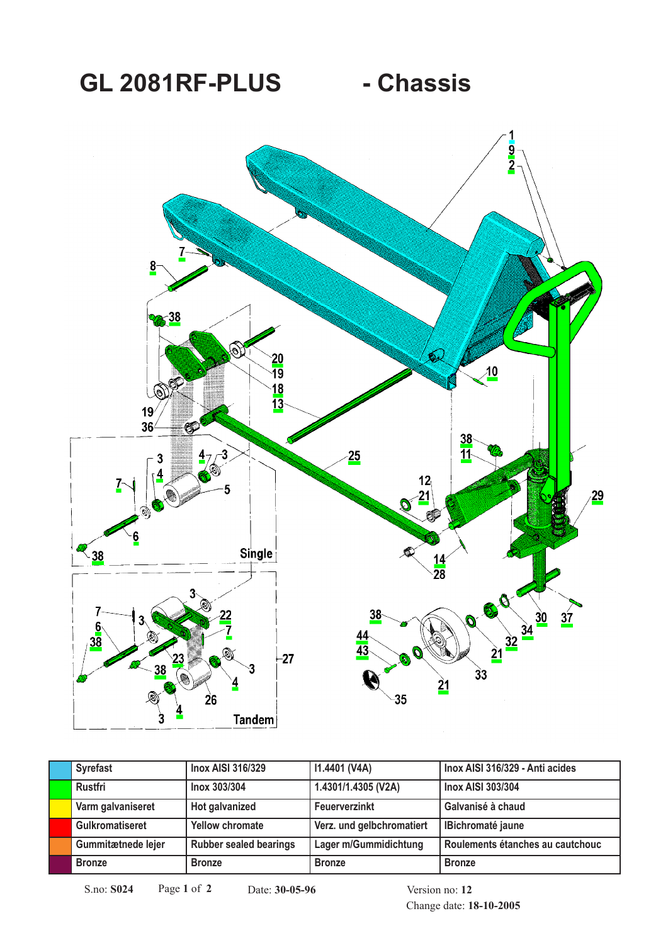## GL 2081RF-PLUS - Chassis



| <b>Syrefast</b>        | <b>Inox AISI 316/329</b>      | 11.4401 (V4A)             | Inox AISI 316/329 - Anti acides  |
|------------------------|-------------------------------|---------------------------|----------------------------------|
| Rustfri                | Inox 303/304                  | 1.4301/1.4305 (V2A)       | <b>Inox AISI 303/304</b>         |
| Varm galvaniseret      | Hot galvanized                | Feuerverzinkt             | Galvanisé à chaud                |
| <b>Gulkromatiseret</b> | <b>Yellow chromate</b>        | Verz. und gelbchromatiert | <b>IBichromaté jaune</b>         |
| Gummitætnede lejer     | <b>Rubber sealed bearings</b> | Lager m/Gummidichtung     | Roulements étanches au cautchouc |
| <b>Bronze</b>          | <b>Bronze</b>                 | <b>Bronze</b>             | <b>Bronze</b>                    |

S.no: **S024** Page **1** of **2** Date: **30-05-96** Version no: **12**

Change date: **18-10-2005**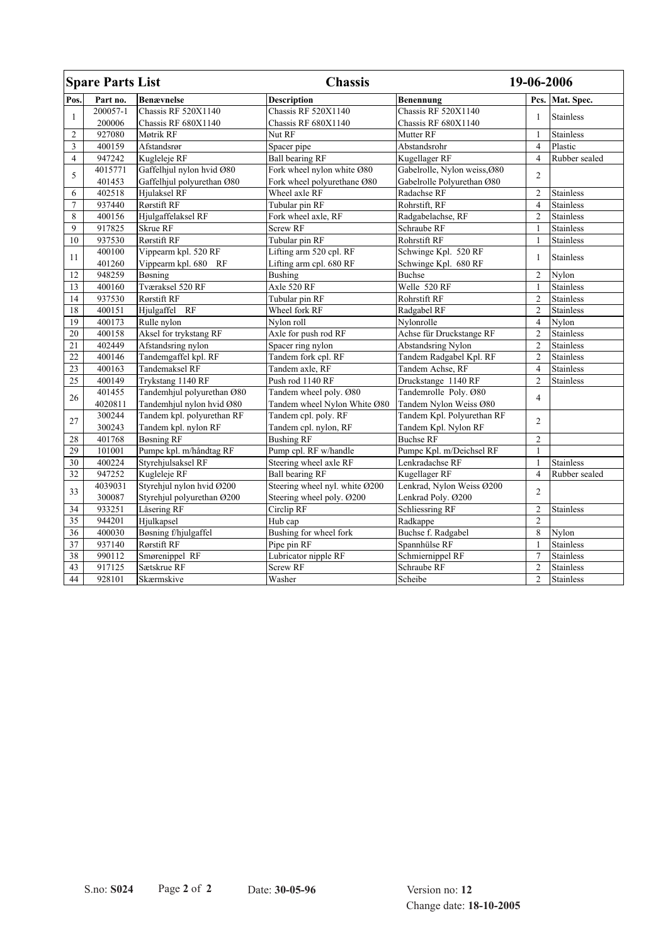| <b>Spare Parts List</b> |          |                            | <b>Chassis</b>                 |                              | 19-06-2006     |                  |
|-------------------------|----------|----------------------------|--------------------------------|------------------------------|----------------|------------------|
| Pos.                    | Part no. | <b>Benævnelse</b>          | <b>Description</b>             | Benennung                    |                | Pcs. Mat. Spec.  |
| 1                       | 200057-1 | <b>Chassis RF 520X1140</b> | <b>Chassis RF 520X1140</b>     | Chassis RF 520X1140          | 1              | <b>Stainless</b> |
|                         | 200006   | Chassis RF 680X1140        | Chassis RF 680X1140            | Chassis RF 680X1140          |                |                  |
| $\overline{2}$          | 927080   | Møtrik RF                  | Nut RF                         | Mutter RF                    | $\mathbf{1}$   | <b>Stainless</b> |
| 3                       | 400159   | Afstandsrør                | Spacer pipe                    | Abstandsrohr                 | $\overline{4}$ | Plastic          |
| $\overline{4}$          | 947242   | Kugleleje RF               | <b>Ball bearing RF</b>         | Kugellager RF                | $\overline{4}$ | Rubber sealed    |
| 5                       | 4015771  | Gaffelhjul nylon hvid Ø80  | Fork wheel nylon white Ø80     | Gabelrolle, Nylon weiss, Ø80 | $\overline{c}$ |                  |
|                         | 401453   | Gaffelhjul polyurethan Ø80 | Fork wheel polyurethane Ø80    | Gabelrolle Polyurethan Ø80   |                |                  |
| 6                       | 402518   | Hjulaksel RF               | Wheel axle RF                  | Radachse RF                  | $\overline{2}$ | <b>Stainless</b> |
| 7                       | 937440   | Rørstift RF                | Tubular pin RF                 | Rohrstift, RF                | $\overline{4}$ | <b>Stainless</b> |
| 8                       | 400156   | Hjulgaffelaksel RF         | Fork wheel axle, RF            | Radgabelachse, RF            | $\overline{2}$ | <b>Stainless</b> |
| $\mathbf{Q}$            | 917825   | Skrue RF                   | <b>Screw RF</b>                | Schraube RF                  | 1              | <b>Stainless</b> |
| 10                      | 937530   | Rørstift RF                | Tubular pin RF                 | Rohrstift RF                 | $\mathbf{1}$   | <b>Stainless</b> |
| 11                      | 400100   | Vippearm kpl. 520 RF       | Lifting arm 520 cpl. RF        | Schwinge Kpl. 520 RF         | $\mathbf{1}$   | <b>Stainless</b> |
|                         | 401260   | Vippearm kpl. 680 RF       | Lifting arm cpl. 680 RF        | Schwinge Kpl. 680 RF         |                |                  |
| 12                      | 948259   | Bøsning                    | Bushing                        | <b>Buchse</b>                | $\overline{2}$ | Nylon            |
| 13                      | 400160   | <b>Tværaksel 520 RF</b>    | Axle 520 RF                    | Welle 520 RF                 | $\mathbf{1}$   | <b>Stainless</b> |
| 14                      | 937530   | Rørstift RF                | Tubular pin RF                 | <b>Rohrstift RF</b>          | $\overline{2}$ | <b>Stainless</b> |
| 18                      | 400151   | Hjulgaffel RF              | Wheel fork RF                  | Radgabel RF                  | $\overline{2}$ | <b>Stainless</b> |
| 19                      | 400173   | Rulle nylon                | Nylon roll                     | Nylonrolle                   | $\overline{4}$ | Nylon            |
| 20                      | 400158   | Aksel for trykstang RF     | Axle for push rod RF           | Achse für Druckstange RF     | $\overline{2}$ | <b>Stainless</b> |
| 21                      | 402449   | Afstandsring nylon         | Spacer ring nylon              | Abstandsring Nylon           | $\overline{2}$ | <b>Stainless</b> |
| 22                      | 400146   | Tandemgaffel kpl. RF       | Tandem fork cpl. RF            | Tandem Radgabel Kpl. RF      | $\overline{2}$ | <b>Stainless</b> |
| 23                      | 400163   | <b>Tandemaksel RF</b>      | Tandem axle, RF                | Tandem Achse, RF             | $\overline{4}$ | <b>Stainless</b> |
| 25                      | 400149   | Trykstang 1140 RF          | Push rod 1140 RF               | Druckstange 1140 RF          | $\overline{2}$ | <b>Stainless</b> |
| 26                      | 401455   | Tandemhjul polyurethan Ø80 | Tandem wheel poly. Ø80         | Tandemrolle Poly. Ø80        | 4              |                  |
|                         | 4020811  | Tandemhjul nylon hvid Ø80  | Tandem wheel Nylon White Ø80   | Tandem Nylon Weiss Ø80       |                |                  |
| 27                      | 300244   | Tandem kpl. polyurethan RF | Tandem cpl. poly. RF           | Tandem Kpl. Polyurethan RF   | $\overline{2}$ |                  |
|                         | 300243   | Tandem kpl. nylon RF       | Tandem cpl. nylon, RF          | Tandem Kpl. Nylon RF         |                |                  |
| 28                      | 401768   | <b>Bøsning RF</b>          | <b>Bushing RF</b>              | <b>Buchse RF</b>             | $\overline{c}$ |                  |
| 29                      | 101001   | Pumpe kpl. m/håndtag RF    | Pump cpl. RF w/handle          | Pumpe Kpl. m/Deichsel RF     | $\mathbf{1}$   |                  |
| 30                      | 400224   | Styrehjulsaksel RF         | Steering wheel axle RF         | Lenkradachse RF              | $\mathbf{1}$   | <b>Stainless</b> |
| 32                      | 947252   | Kugleleje RF               | <b>Ball bearing RF</b>         | Kugellager RF                | $\overline{4}$ | Rubber sealed    |
| 33                      | 4039031  | Styrehjul nylon hvid Ø200  | Steering wheel nyl. white Ø200 | Lenkrad, Nylon Weiss Ø200    | $\overline{2}$ |                  |
|                         | 300087   | Styrehjul polyurethan Ø200 | Steering wheel poly. Ø200      | Lenkrad Poly. Ø200           |                |                  |
| 34                      | 933251   | Låsering RF                | Circlip RF                     | Schliessring RF              | $\overline{2}$ | <b>Stainless</b> |
| $\overline{35}$         | 944201   | Hjulkapsel                 | Hub cap                        | Radkappe                     | $\overline{2}$ |                  |
| 36                      | 400030   | Bøsning f/hjulgaffel       | Bushing for wheel fork         | Buchse f. Radgabel           | 8              | Nylon            |
| 37                      | 937140   | Rørstift RF                | Pipe pin RF                    | Spannhülse RF                | $\mathbf{1}$   | <b>Stainless</b> |
| $\overline{38}$         | 990112   | Smørenippel RF             | Lubricator nipple RF           | Schmiernippel RF             | $\overline{7}$ | <b>Stainless</b> |
| 43                      | 917125   | Sætskrue RF                | Screw RF                       | Schraube RF                  | $\overline{2}$ | Stainless        |
| 44                      | 928101   | Skærmskive                 | Washer                         | Scheibe                      | $\overline{2}$ | <b>Stainless</b> |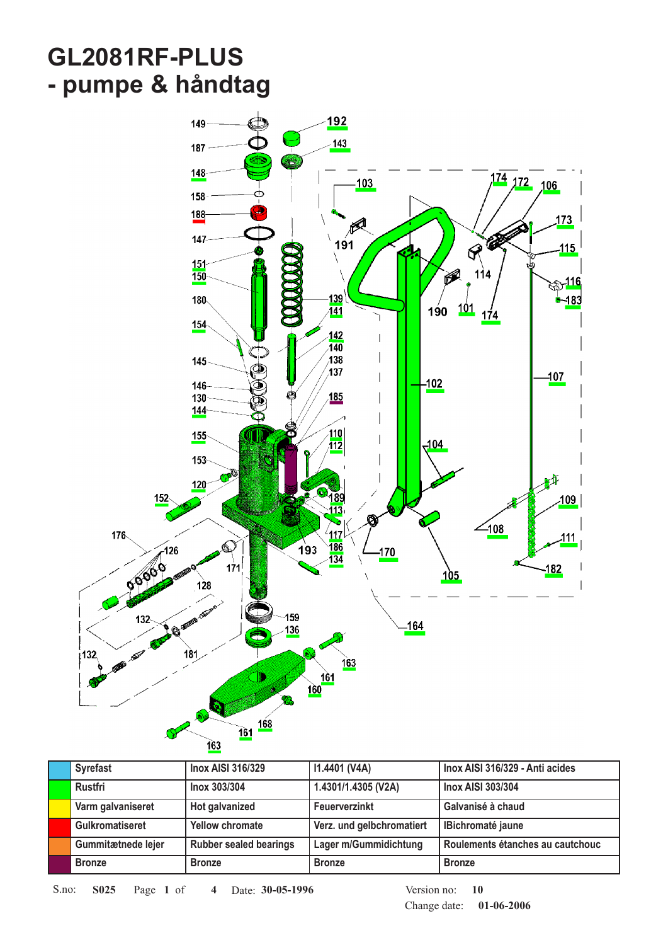## **GL2081RF-PLUS - pumpe & håndtag**



| <b>Syrefast</b>        | <b>Inox AISI 316/329</b>      | 11.4401 (V4A)             | Inox AISI 316/329 - Anti acides  |
|------------------------|-------------------------------|---------------------------|----------------------------------|
| Rustfri                | Inox 303/304                  | 1.4301/1.4305 (V2A)       | <b>Inox AISI 303/304</b>         |
| Varm galvaniseret      | Hot galvanized                | Feuerverzinkt             | Galvanisé à chaud                |
| <b>Gulkromatiseret</b> | <b>Yellow chromate</b>        | Verz. und gelbchromatiert | <b>IBichromaté jaune</b>         |
| Gummitætnede lejer     | <b>Rubber sealed bearings</b> | Lager m/Gummidichtung     | Roulements étanches au cautchouc |
| <b>Bronze</b>          | <b>Bronze</b>                 | <b>Bronze</b>             | <b>Bronze</b>                    |

S.no: **S025** Page 1 of 4 Date: 30-05-1996 **10** Version no: 10

Change date: **01-06-2006**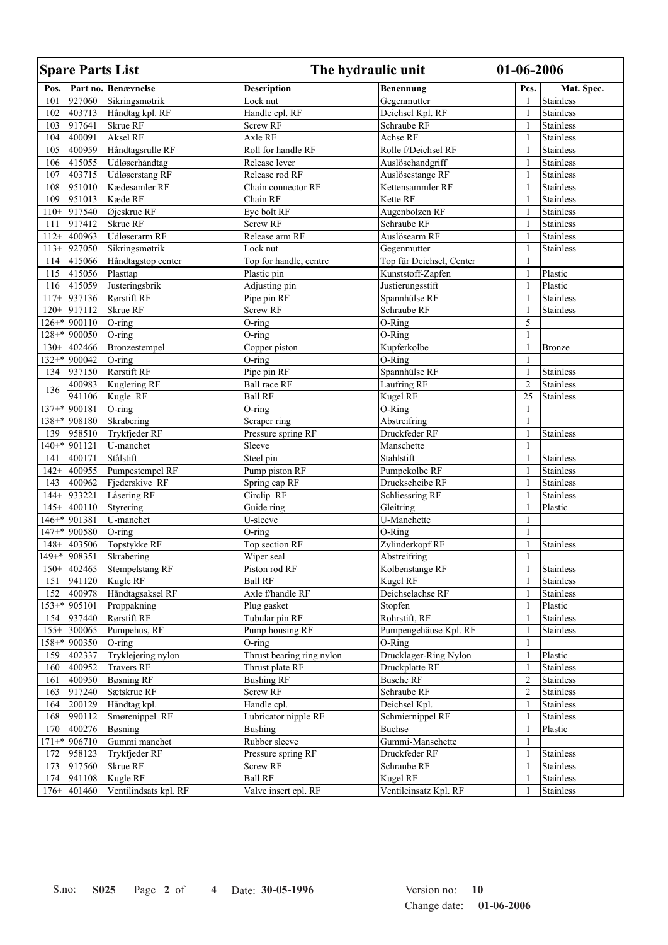|      | <b>Spare Parts List</b> |                        | The hydraulic unit        |                                  | 01-06-2006     |                  |
|------|-------------------------|------------------------|---------------------------|----------------------------------|----------------|------------------|
| Pos. |                         | Part no. Benævnelse    | <b>Description</b>        | Benennung                        | Pcs.           | Mat. Spec.       |
| 101  | 927060                  | Sikringsmøtrik         | Lock nut                  | Gegenmutter                      | 1              | Stainless        |
| 102  | 403713                  | Håndtag kpl. RF        | Handle cpl. RF            | Deichsel Kpl. RF                 | $\mathbf{1}$   | <b>Stainless</b> |
| 103  | 917641                  | Skrue RF               | Screw RF                  | Schraube RF                      | $\mathbf{1}$   | <b>Stainless</b> |
| 104  | 400091                  | Aksel RF               | Axle RF                   | Achse RF                         | $\mathbf{1}$   | Stainless        |
| 105  | 400959                  | Håndtagsrulle RF       | Roll for handle RF        | Rolle f/Deichsel RF              | $\mathbf{1}$   | Stainless        |
| 106  | 415055                  | Udløserhåndtag         | Release lever             | Auslösehandgriff                 | 1              | <b>Stainless</b> |
| 107  | 403715                  | <b>Udløserstang RF</b> | Release rod RF            | Auslösestange RF                 | $\mathbf{1}$   | Stainless        |
| 108  | 951010                  | Kædesamler RF          | Chain connector RF        | Kettensammler RF                 | $\mathbf{1}$   | Stainless        |
| 109  | 951013                  | Kæde RF                | Chain RF                  | Kette RF                         | 1              | Stainless        |
|      | $110+$ 917540           | Øjeskrue RF            | Eye bolt RF               | Augenbolzen RF                   | $\mathbf{1}$   | Stainless        |
| 111  | 917412                  | Skrue RF               | Screw RF                  | Schraube RF                      | $\mathbf{1}$   | <b>Stainless</b> |
|      | $112+  400963 $         | Udløserarm RF          | Release arm RF            | Auslösearm RF                    | 1              | <b>Stainless</b> |
|      | $113 +  927050$         | Sikringsmøtrik         | Lock nut                  | Gegenmutter                      | $\mathbf{1}$   | Stainless        |
|      | 114 415066              | Håndtagstop center     | Top for handle, centre    | Top für Deichsel, Center         | $\mathbf{1}$   |                  |
| 115  | 415056                  | Plasttap               | Plastic pin               | Kunststoff-Zapfen                | $\mathbf{1}$   | Plastic          |
| 116  | 415059                  | Justeringsbrik         | Adjusting pin             | Justierungsstift                 | $\mathbf{1}$   | Plastic          |
|      | $117 + 937136$          | Rørstift RF            | Pipe pin RF               | Spannhülse RF                    | $\mathbf{1}$   | Stainless        |
|      | $120 + 917112$          | Skrue RF               | Screw RF                  | Schraube RF                      | $\mathbf{1}$   | Stainless        |
|      | $126 +$ 900110          | $O$ -ring              | O-ring                    | O-Ring                           | 5              |                  |
|      | 128+* 900050            | $O$ -ring              | $O$ -ring                 | O-Ring                           | $\mathbf{1}$   |                  |
|      | $130 + 402466$          | Bronzestempel          | Copper piston             | Kupferkolbe                      | $\mathbf{1}$   | <b>Bronze</b>    |
|      | 132+* 900042            | $O$ -ring              | $O$ -ring                 | O-Ring                           | $\mathbf{1}$   |                  |
|      | 134 937150              | Rørstift RF            | Pipe pin RF               | Spannhülse RF                    | $\mathbf{1}$   | Stainless        |
|      | 400983                  | Kuglering RF           | <b>Ball race RF</b>       | Laufring RF                      | $\overline{c}$ | <b>Stainless</b> |
| 136  | 941106                  | Kugle RF               | <b>Ball RF</b>            | Kugel RF                         | 25             | Stainless        |
|      | $137^{+*}$ 900181       | $O$ -ring              | $O$ -ring                 | O-Ring                           | $\mathbf{1}$   |                  |
|      | $138 +$ 908180          | Skrabering             | Scraper ring              | Abstreifring                     | $\mathbf{1}$   |                  |
| 139  | 958510                  | Trykfjeder RF          | Pressure spring RF        | Druckfeder RF                    | $\mathbf{1}$   | Stainless        |
|      | $140+$ 901121           | U-manchet              | Sleeve                    | Manschette                       | 1              |                  |
| 141  | 400171                  | Stålstift              | Steel pin                 | Stahlstift                       | $\mathbf{1}$   | <b>Stainless</b> |
|      | $142+  400955$          | Pumpestempel RF        | Pump piston RF            |                                  | $\mathbf{1}$   | Stainless        |
| 143  | 400962                  | Fjederskive RF         |                           | Pumpekolbe RF<br>Druckscheibe RF | $\mathbf{1}$   | Stainless        |
|      | $144 + 933221$          | Låsering RF            | Spring cap RF             |                                  | $\mathbf{1}$   |                  |
|      |                         |                        | Circlip RF                | Schliessring RF                  |                | Stainless        |
|      | $145+ 400110$           | Styrering              | Guide ring                | Gleitring                        | $\mathbf{1}$   | Plastic          |
|      | $146 +$ 901381          | U-manchet              | U-sleeve                  | U-Manchette                      | $\mathbf{1}$   |                  |
|      | $147+$ 900580           | $O$ -ring              | O-ring                    | O-Ring                           | $\mathbf{1}$   |                  |
|      | $148+ 403506 $          | Topstykke RF           | Top section RF            | Zylinderkopf RF                  | 1              | Stainless        |
|      | $149^{+*}$ 908351       | Skrabering             | Wiper seal                | Abstreifring                     | $\mathbf{1}$   |                  |
|      | $150+ 402465 $          | Stempelstang RF        | Piston rod RF             | Kolbenstange RF                  | 1              | Stainless        |
| 151  | 941120                  | Kugle RF               | <b>Ball RF</b>            | Kugel RF                         | $\mathbf{1}$   | <b>Stainless</b> |
| 152  | 400978                  | Håndtagsaksel RF       | Axle f/handle RF          | Deichselachse RF                 | 1              | Stainless        |
|      | $153^{+*}$ 905101       | Proppakning            | Plug gasket               | Stopfen                          | -1             | Plastic          |
| 154  | 937440                  | Rørstift RF            | Tubular pin RF            | Rohrstift, RF                    | $\mathbf{1}$   | <b>Stainless</b> |
|      | $155+ 300065 $          | Pumpehus, RF           | Pump housing RF           | Pumpengehäuse Kpl. RF            | $\mathbf{1}$   | Stainless        |
|      | 158+* 900350            | $O$ -ring              | $O$ -ring                 | O-Ring                           | $\mathbf{1}$   |                  |
| 159  | 402337                  | Tryklejering nylon     | Thrust bearing ring nylon | Drucklager-Ring Nylon            | $\mathbf{1}$   | Plastic          |
| 160  | 400952                  | <b>Travers RF</b>      | Thrust plate RF           | Druckplatte RF                   | 1              | <b>Stainless</b> |
| 161  | 400950                  | <b>Bøsning RF</b>      | <b>Bushing RF</b>         | <b>Busche RF</b>                 | $\overline{c}$ | Stainless        |
| 163  | 917240                  | Sætskrue RF            | Screw RF                  | Schraube RF                      | $\overline{c}$ | <b>Stainless</b> |
| 164  | 200129                  | Håndtag kpl.           | Handle cpl.               | Deichsel Kpl.                    | $\mathbf{1}$   | <b>Stainless</b> |
| 168  | 990112                  | Smørenippel RF         | Lubricator nipple RF      | Schmiernippel RF                 | 1              | <b>Stainless</b> |
| 170  | 400276                  | Bøsning                | <b>Bushing</b>            | <b>Buchse</b>                    | $\mathbf{1}$   | Plastic          |
|      | $171+$ 906710           | Gummi manchet          | Rubber sleeve             | Gummi-Manschette                 | 1              |                  |
| 172  | 958123                  | Trykfjeder RF          | Pressure spring RF        | Druckfeder RF                    | 1              | Stainless        |
| 173  | 917560                  | Skrue RF               | Screw RF                  | Schraube RF                      | $\mathbf{1}$   | Stainless        |
| 174  | 941108                  | Kugle RF               | <b>Ball RF</b>            | Kugel RF                         | 1              | Stainless        |
|      | $176 +  401460$         | Ventilindsats kpl. RF  | Valve insert cpl. RF      | Ventileinsatz Kpl. RF            | $\mathbf{1}$   | Stainless        |